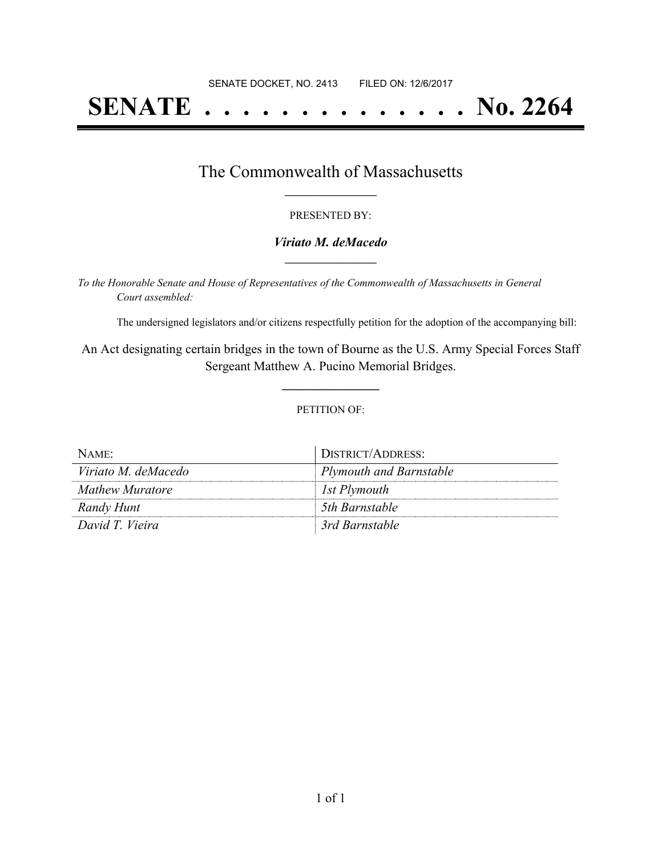# **SENATE . . . . . . . . . . . . . . No. 2264**

### The Commonwealth of Massachusetts **\_\_\_\_\_\_\_\_\_\_\_\_\_\_\_\_\_**

#### PRESENTED BY:

#### *Viriato M. deMacedo* **\_\_\_\_\_\_\_\_\_\_\_\_\_\_\_\_\_**

*To the Honorable Senate and House of Representatives of the Commonwealth of Massachusetts in General Court assembled:*

The undersigned legislators and/or citizens respectfully petition for the adoption of the accompanying bill:

An Act designating certain bridges in the town of Bourne as the U.S. Army Special Forces Staff Sergeant Matthew A. Pucino Memorial Bridges.

**\_\_\_\_\_\_\_\_\_\_\_\_\_\_\_**

#### PETITION OF:

| NAME:               | DISTRICT/ADDRESS:       |
|---------------------|-------------------------|
| Viriato M. deMacedo | Plymouth and Barnstable |
| Mathew Muratore     | 1st Plymouth            |
| Randy Hunt          | 5th Barnstable          |
| David T. Vieira     | 3rd Barnstable          |